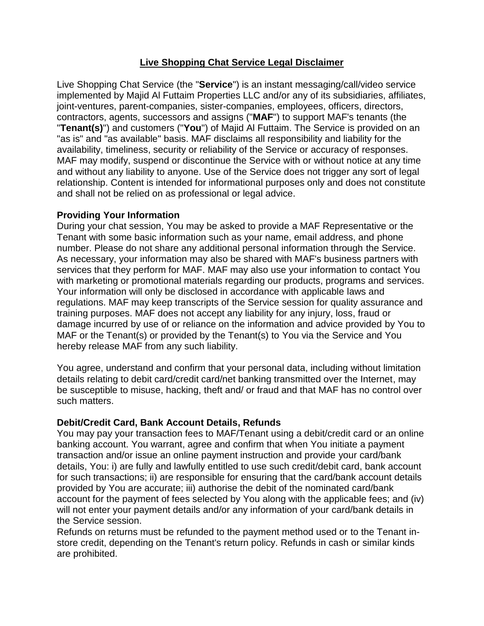# **Live Shopping Chat Service Legal Disclaimer**

Live Shopping Chat Service (the "**Service**") is an instant messaging/call/video service implemented by Majid Al Futtaim Properties LLC and/or any of its subsidiaries, affiliates, joint-ventures, parent-companies, sister-companies, employees, officers, directors, contractors, agents, successors and assigns ("**MAF**") to support MAF's tenants (the "**Tenant(s)**") and customers ("**You**") of Majid Al Futtaim. The Service is provided on an "as is" and "as available" basis. MAF disclaims all responsibility and liability for the availability, timeliness, security or reliability of the Service or accuracy of responses. MAF may modify, suspend or discontinue the Service with or without notice at any time and without any liability to anyone. Use of the Service does not trigger any sort of legal relationship. Content is intended for informational purposes only and does not constitute and shall not be relied on as professional or legal advice.

## **Providing Your Information**

During your chat session, You may be asked to provide a MAF Representative or the Tenant with some basic information such as your name, email address, and phone number. Please do not share any additional personal information through the Service. As necessary, your information may also be shared with MAF's business partners with services that they perform for MAF. MAF may also use your information to contact You with marketing or promotional materials regarding our products, programs and services. Your information will only be disclosed in accordance with applicable laws and regulations. MAF may keep transcripts of the Service session for quality assurance and training purposes. MAF does not accept any liability for any injury, loss, fraud or damage incurred by use of or reliance on the information and advice provided by You to MAF or the Tenant(s) or provided by the Tenant(s) to You via the Service and You hereby release MAF from any such liability.

You agree, understand and confirm that your personal data, including without limitation details relating to debit card/credit card/net banking transmitted over the Internet, may be susceptible to misuse, hacking, theft and/ or fraud and that MAF has no control over such matters.

### **Debit/Credit Card, Bank Account Details, Refunds**

You may pay your transaction fees to MAF/Tenant using a debit/credit card or an online banking account. You warrant, agree and confirm that when You initiate a payment transaction and/or issue an online payment instruction and provide your card/bank details, You: i) are fully and lawfully entitled to use such credit/debit card, bank account for such transactions; ii) are responsible for ensuring that the card/bank account details provided by You are accurate; iii) authorise the debit of the nominated card/bank account for the payment of fees selected by You along with the applicable fees; and (iv) will not enter your payment details and/or any information of your card/bank details in the Service session.

Refunds on returns must be refunded to the payment method used or to the Tenant instore credit, depending on the Tenant's return policy. Refunds in cash or similar kinds are prohibited.